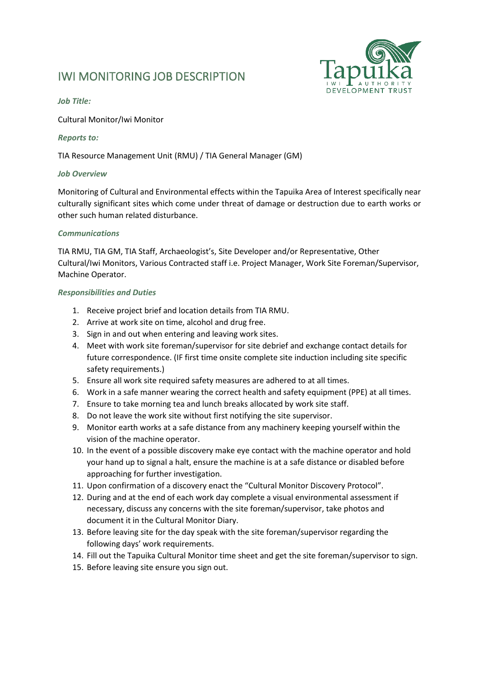# IWI MONITORING JOB DESCRIPTION



### *Job Title:*

Cultural Monitor/Iwi Monitor

### *Reports to:*

TIA Resource Management Unit (RMU) / TIA General Manager (GM)

#### *Job Overview*

Monitoring of Cultural and Environmental effects within the Tapuika Area of Interest specifically near culturally significant sites which come under threat of damage or destruction due to earth works or other such human related disturbance.

### *Communications*

TIA RMU, TIA GM, TIA Staff, Archaeologist's, Site Developer and/or Representative, Other Cultural/Iwi Monitors, Various Contracted staff i.e. Project Manager, Work Site Foreman/Supervisor, Machine Operator.

### *Responsibilities and Duties*

- 1. Receive project brief and location details from TIA RMU.
- 2. Arrive at work site on time, alcohol and drug free.
- 3. Sign in and out when entering and leaving work sites.
- 4. Meet with work site foreman/supervisor for site debrief and exchange contact details for future correspondence. (IF first time onsite complete site induction including site specific safety requirements.)
- 5. Ensure all work site required safety measures are adhered to at all times.
- 6. Work in a safe manner wearing the correct health and safety equipment (PPE) at all times.
- 7. Ensure to take morning tea and lunch breaks allocated by work site staff.
- 8. Do not leave the work site without first notifying the site supervisor.
- 9. Monitor earth works at a safe distance from any machinery keeping yourself within the vision of the machine operator.
- 10. In the event of a possible discovery make eye contact with the machine operator and hold your hand up to signal a halt, ensure the machine is at a safe distance or disabled before approaching for further investigation.
- 11. Upon confirmation of a discovery enact the "Cultural Monitor Discovery Protocol".
- 12. During and at the end of each work day complete a visual environmental assessment if necessary, discuss any concerns with the site foreman/supervisor, take photos and document it in the Cultural Monitor Diary.
- 13. Before leaving site for the day speak with the site foreman/supervisor regarding the following days' work requirements.
- 14. Fill out the Tapuika Cultural Monitor time sheet and get the site foreman/supervisor to sign.
- 15. Before leaving site ensure you sign out.